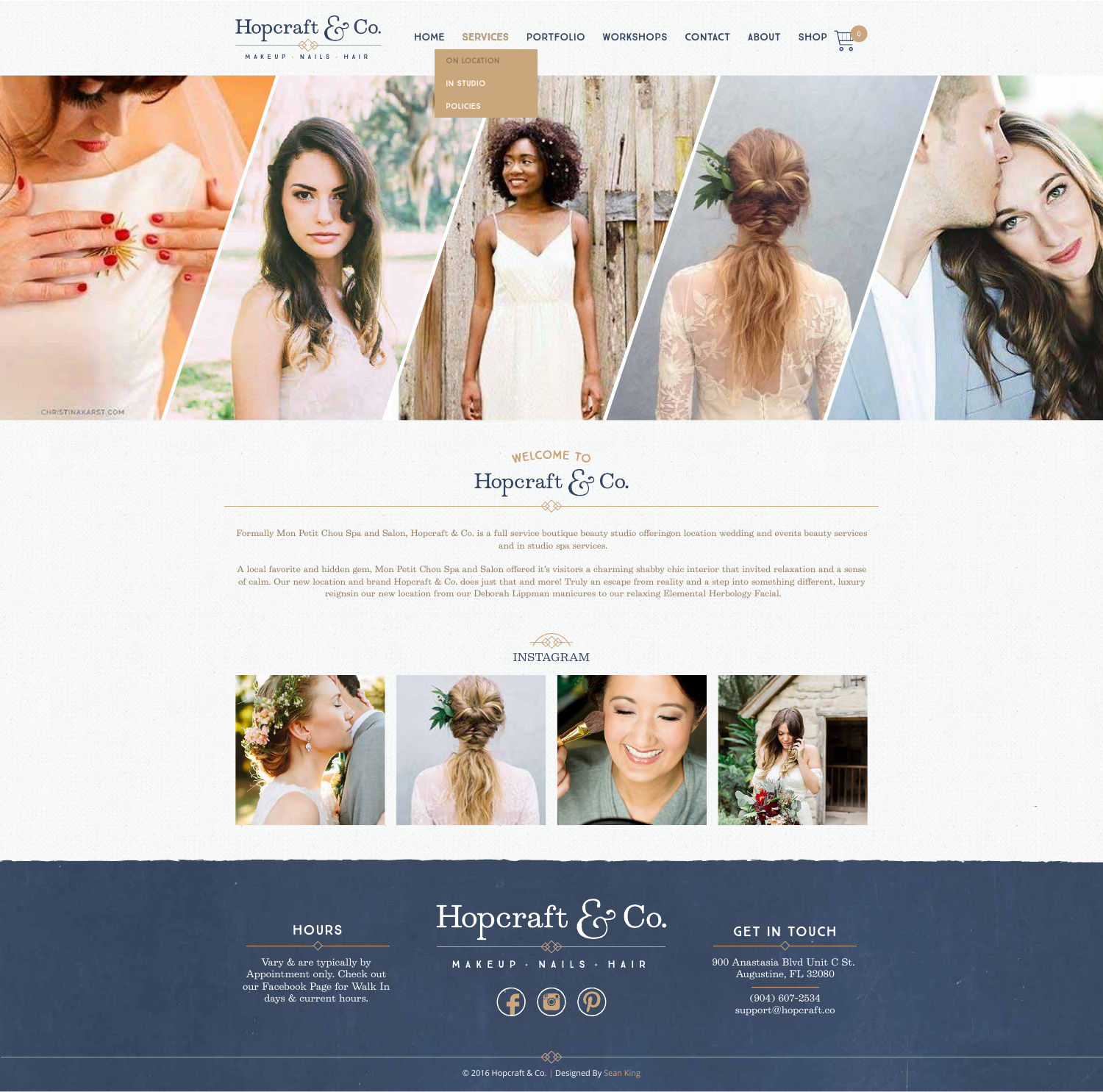Formally Mon Petit Chou Spa and Salon, Hopcraft & Co. is a full service boutique beauty studio offeringon location wedding and events beauty services and in studio spa services.

A local favorite and hidden gem, Mon Petit Chou Spa and Salon offered it's visitors a charming shabby chic interior that invited relaxation and a sense of calm. Our new location and brand Hopcraft & Co. does just that and more! Truly an escape from reality and a step into something different, luxury reignsin our new location from our Deborah Lippman manicures to our relaxing Elemental Herbology Facial.









 $\ll \gg$ 

#### Hours

Vary & are typically by Appointment only. Check out our Facebook Page for Walk In days & current hours.

900 Anastasia Blvd Unit C St. Augustine, FL 32080

> (904) 607-2534 support@hopcraft.co





Policies

CHRISTINAKARST COM

# WELCOME TO Hopcraft & Co.

### INSTAGRAM







MAKEUP NAILS HAIR

#### **GET IN TOUCH**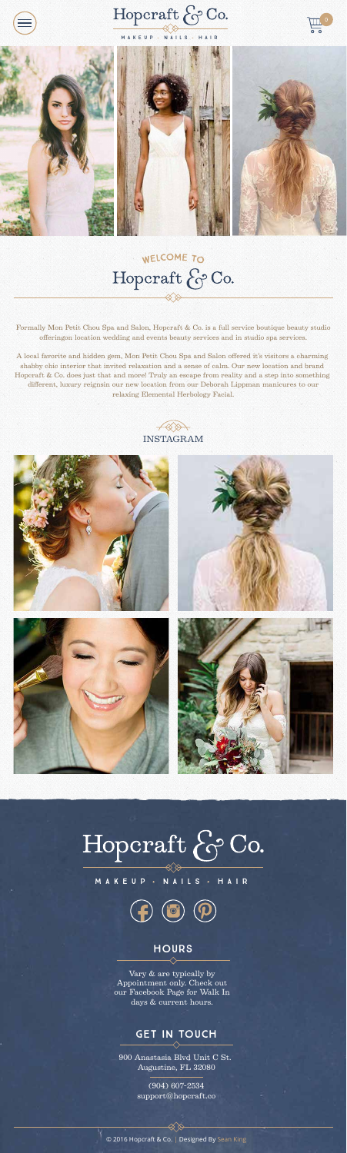

Hoperaft & Co.

#### MAKEUP · NAILS · HAIR





# WELCOME TO<br>Hopcraft & Co.

Formally Mon Petit Chou Spa and Salon, Hopcraft & Co. is a full service boutique beauty studio offeringon location wedding and events beauty services and in studio spa services.

A local favorite and hidden gem, Mon Petit Chou Spa and Salon offered it's visitors a charming shabby chic interior that invited relaxation and a sense of calm. Our new location and brand Hopcraft & Co. does just that and more! Truly an escape from reality and a step into something different, luxury reignsin our new location from our Deborah Lippman manicures to our relaxing Elemental Herbology Facial.





# Hoperaft & Co.

#### MAKEUP NAILS · HAIR



#### **HOURS**

© 2016 Hopcraft & Co. | Designed By Sean King

Vary & are typically by Appointment only. Check out our Facebook Page for Walk In days & current hours.

#### Get In Touch

900 Anastasia Blvd Unit C St. Augustine, FL 32080

> (904) 607-2534 support@hopcraft.co